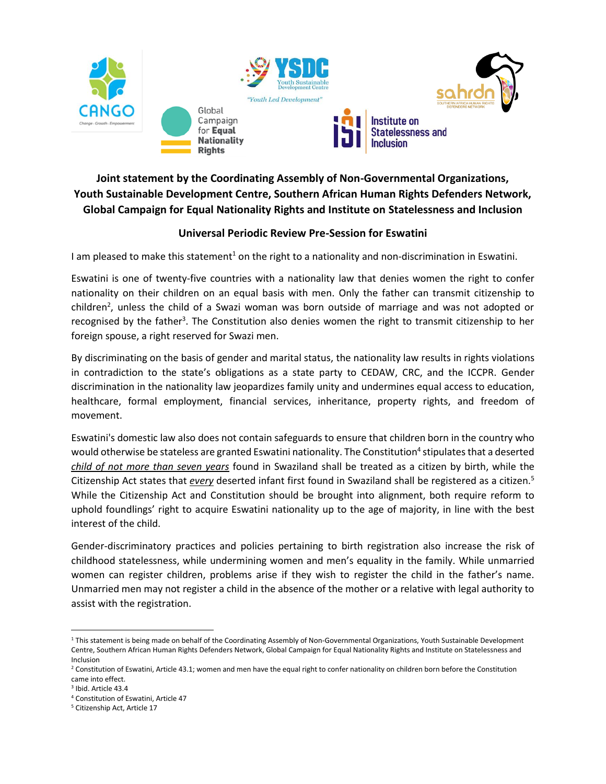

## **Joint statement by the Coordinating Assembly of Non-Governmental Organizations, Youth Sustainable Development Centre, Southern African Human Rights Defenders Network, Global Campaign for Equal Nationality Rights and Institute on Statelessness and Inclusion**

## **Universal Periodic Review Pre-Session for Eswatini**

I am pleased to make this statement<sup>1</sup> on the right to a nationality and non-discrimination in Eswatini.

Eswatini is one of twenty-five countries with a nationality law that denies women the right to confer nationality on their children on an equal basis with men. Only the father can transmit citizenship to children<sup>2</sup>, unless the child of a Swazi woman was born outside of marriage and was not adopted or recognised by the father<sup>3</sup>. The Constitution also denies women the right to transmit citizenship to her foreign spouse, a right reserved for Swazi men.

By discriminating on the basis of gender and marital status, the nationality law results in rights violations in contradiction to the state's obligations as a state party to CEDAW, CRC, and the ICCPR. Gender discrimination in the nationality law jeopardizes family unity and undermines equal access to education, healthcare, formal employment, financial services, inheritance, property rights, and freedom of movement.

Eswatini's domestic law also does not contain safeguards to ensure that children born in the country who would otherwise be stateless are granted Eswatini nationality. The Constitution<sup>4</sup> stipulates that a deserted *child of not more than seven years* found in Swaziland shall be treated as a citizen by birth, while the Citizenship Act states that *every* deserted infant first found in Swaziland shall be registered as a citizen.<sup>5</sup> While the Citizenship Act and Constitution should be brought into alignment, both require reform to uphold foundlings' right to acquire Eswatini nationality up to the age of majority, in line with the best interest of the child.

Gender-discriminatory practices and policies pertaining to birth registration also increase the risk of childhood statelessness, while undermining women and men's equality in the family. While unmarried women can register children, problems arise if they wish to register the child in the father's name. Unmarried men may not register a child in the absence of the mother or a relative with legal authority to assist with the registration.

<sup>&</sup>lt;sup>1</sup> This statement is being made on behalf of the Coordinating Assembly of Non-Governmental Organizations, Youth Sustainable Development Centre, Southern African Human Rights Defenders Network, Global Campaign for Equal Nationality Rights and Institute on Statelessness and Inclusion

 $2$  Constitution of Eswatini, Article 43.1; women and men have the equal right to confer nationality on children born before the Constitution came into effect.

<sup>3</sup> Ibid. Article 43.4

<sup>4</sup> Constitution of Eswatini, Article 47

<sup>5</sup> Citizenship Act, Article 17